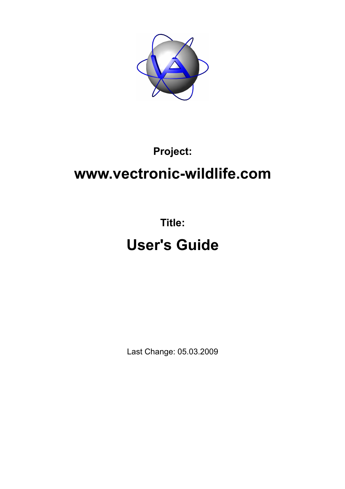

### **Project:**

## **www.vectronic-wildlife.com**

# **Title: User's Guide**

Last Change: 05.03.2009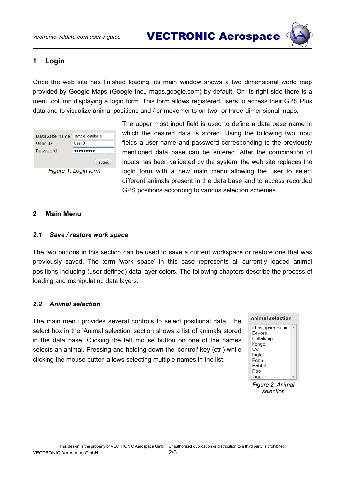*vectronic-wildlife.com user's guide* VECTRONIC Aerospace



#### **1 Login**

Once the web site has finished loading, its main window shows a two dimensional world map provided by Google Maps (Google Inc., maps.google.com) by default. On its right side there is a menu column displaying a login form. This form allows registered users to access their GPS Plus data and to visualize animal positions and / or movements on two- or three-dimensional maps.



The upper most input field is used to define a data base name in which the desired data is stored. Using the following two input fields a user name and password corresponding to the previously mentioned data base can be entered. After the combination of inputs has been validated by the system, the web site replaces the login form with a new main menu allowing the user to select different animals present in the data base and to access recorded GPS positions according to various selection schemes.

#### **2 Main Menu**

#### *2.1 Save / restore work space*

The two buttons in this section can be used to save a current workspace or restore one that was previously saved. The term 'work space' in this case represents all currently loaded animal positions including (user defined) data layer colors. The following chapters describe the process of loading and manipulating data layers.

#### <span id="page-1-0"></span>*2.2 Animal selection*

The main menu provides several controls to select positional data. The select box in the 'Animal selection' section shows a list of animals stored in the data base. Clicking the left mouse button on one of the names selects an animal. Pressing and holding down the 'control'-key (ctrl) while clicking the mouse button allows selecting multiple names in the list.

| Animal selection  |  |  |
|-------------------|--|--|
| Christopher Robin |  |  |
| Eeyore            |  |  |
| Heffalump         |  |  |
| Kanga             |  |  |
| Owl               |  |  |
| Piglet            |  |  |
| Pooh              |  |  |
| Rabbit            |  |  |
| Roo               |  |  |
| Tigger            |  |  |

*Figure 2: Animal selection*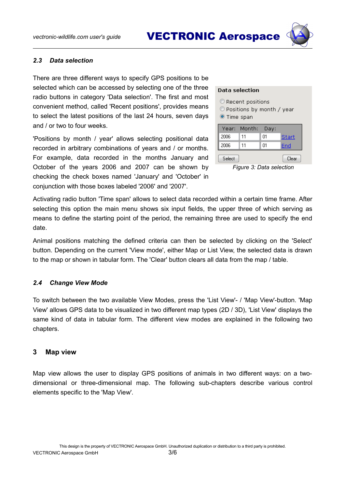*vectronic-wildlife.com user's guide* VECTRONIC Aerospace

#### <span id="page-2-0"></span>*2.3 Data selection*

There are three different ways to specify GPS positions to be selected which can be accessed by selecting one of the three radio buttons in category 'Data selection'. The first and most convenient method, called 'Recent positions', provides means to select the latest positions of the last 24 hours, seven days and / or two to four weeks.

'Positions by month / year' allows selecting positional data recorded in arbitrary combinations of years and / or months. For example, data recorded in the months January and October of the years 2006 and 2007 can be shown by checking the check boxes named 'January' and 'October' in conjunction with those boxes labeled '2006' and '2007'.

#### **Data selection**

Recent positions

- © Positions by month / year
- Time span

|        | Year: Month: | Day: |              |
|--------|--------------|------|--------------|
| 2006   | 11           | 01   | <b>Start</b> |
| 2006   | 11           | N1   | End          |
| Select |              |      | Clear        |

*Figure 3: Data selection*

Activating radio button 'Time span' allows to select data recorded within a certain time frame. After selecting this option the main menu shows six input fields, the upper three of which serving as means to define the starting point of the period, the remaining three are used to specify the end date.

Animal positions matching the defined criteria can then be selected by clicking on the 'Select' button. Depending on the current 'View mode', either Map or List View, the selected data is drawn to the map or shown in tabular form. The 'Clear' button clears all data from the map / table.

#### *2.4 Change View Mode*

To switch between the two available View Modes, press the 'List View'- / 'Map View'-button. 'Map View' allows GPS data to be visualized in two different map types (2D / 3D), 'List View' displays the same kind of data in tabular form. The different view modes are explained in the following two chapters.

#### **3 Map view**

Map view allows the user to display GPS positions of animals in two different ways: on a twodimensional or three-dimensional map. The following sub-chapters describe various control elements specific to the 'Map View'.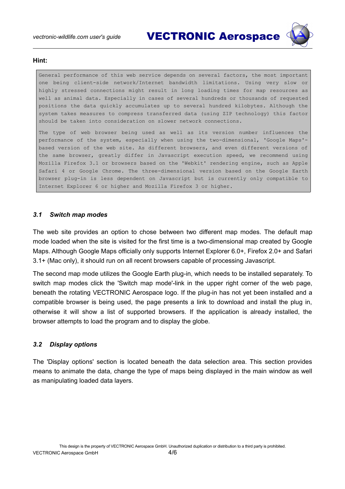

#### **Hint:**

General performance of this web service depends on several factors, the most important one being client-side network/Internet bandwidth limitations. Using very slow or highly stressed connections might result in long loading times for map resources as well as animal data. Especially in cases of several hundreds or thousands of requested positions the data quickly accumulates up to several hundred kilobytes. Although the system takes measures to compress transferred data (using ZIP technology) this factor should be taken into consideration on slower network connections.

The type of web browser being used as well as its version number influences the performance of the system, especially when using the two-dimensional, 'Google Maps' based version of the web site. As different browsers, and even different versions of the same browser, greatly differ in Javascript execution speed, we recommend using Mozilla Firefox 3.1 or browsers based on the 'Webkit' rendering engine, such as Apple Safari 4 or Google Chrome. The three-dimensional version based on the Google Earth browser plug-in is less dependent on Javascript but is currently only compatible to Internet Explorer 6 or higher and Mozilla Firefox 3 or higher.

#### *3.1 Switch map modes*

The web site provides an option to chose between two different map modes. The default map mode loaded when the site is visited for the first time is a two-dimensional map created by Google Maps. Although Google Maps officially only supports Internet Explorer 6.0+, Firefox 2.0+ and Safari 3.1+ (Mac only), it should run on all recent browsers capable of processing Javascript.

The second map mode utilizes the Google Earth plug-in, which needs to be installed separately. To switch map modes click the 'Switch map mode'-link in the upper right corner of the web page, beneath the rotating VECTRONIC Aerospace logo. If the plug-in has not yet been installed and a compatible browser is being used, the page presents a link to download and install the plug in, otherwise it will show a list of supported browsers. If the application is already installed, the browser attempts to load the program and to display the globe.

#### *3.2 Display options*

The 'Display options' section is located beneath the data selection area. This section provides means to animate the data, change the type of maps being displayed in the main window as well as manipulating loaded data layers.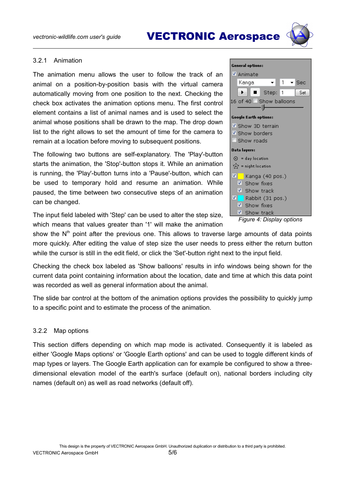

#### 3.2.1 Animation

The animation menu allows the user to follow the track of an animal on a position-by-position basis with the virtual camera automatically moving from one position to the next. Checking the check box activates the animation options menu. The first control element contains a list of animal names and is used to select the animal whose positions shall be drawn to the map. The drop down list to the right allows to set the amount of time for the camera to remain at a location before moving to subsequent positions.

The following two buttons are self-explanatory. The 'Play'-button starts the animation, the 'Stop'-button stops it. While an animation is running, the 'Play'-button turns into a 'Pause'-button, which can be used to temporary hold and resume an animation. While paused, the time between two consecutive steps of an animation can be changed.

The input field labeled with 'Step' can be used to alter the step size, which means that values greater than '1' will make the animation

**General options:** ✔ Animate Kanga ۰  $\mathbf{1}$  $\overline{\phantom{a}}$  Sec Step: 1  $\ddot{\phantom{1}}$  $\blacksquare$ Set 16 of 40 Show balloons - 1 **Google Earth options:** Show 3D terrain Show borders Show roads Data layers:  $\odot$  = day location  $\mathbf{r} = \mathbf{r}$  = night location **Z** Kanga (40 pos.) Show fixes  $\blacksquare$  Show track  $\overline{u}$ Rabbit (31 pos.) Show fixes Show track *Figure 4: Display options*

show the  $N<sup>th</sup>$  point after the previous one. This allows to traverse large amounts of data points more quickly. After editing the value of step size the user needs to press either the return button while the cursor is still in the edit field, or click the 'Set'-button right next to the input field.

Checking the check box labeled as 'Show balloons' results in info windows being shown for the current data point containing information about the location, date and time at which this data point was recorded as well as general information about the animal.

The slide bar control at the bottom of the animation options provides the possibility to quickly jump to a specific point and to estimate the process of the animation.

#### 3.2.2 Map options

This section differs depending on which map mode is activated. Consequently it is labeled as either 'Google Maps options' or 'Google Earth options' and can be used to toggle different kinds of map types or layers. The Google Earth application can for example be configured to show a threedimensional elevation model of the earth's surface (default on), national borders including city names (default on) as well as road networks (default off).